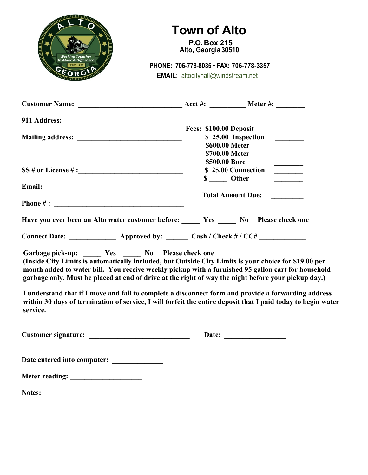

## **Town of Alto**

 **P.O. Box 215 Alto, Georgia 30510**

**Phone PHONE: 706-778-8035 • FAX: 706-778-3357 EMAIL:** [altocityhall@windstream.net](mailto:altocityhall@windstream.net)

|                                                                                                                                                                                                                                                                                                                                                                                                                                                                                                                                                                                                   | Fees: \$100.00 Deposit<br>\$ 25.00 Inspection<br>\$600.00 Meter<br>\$700.00 Meter<br>________________ |                    |  |
|---------------------------------------------------------------------------------------------------------------------------------------------------------------------------------------------------------------------------------------------------------------------------------------------------------------------------------------------------------------------------------------------------------------------------------------------------------------------------------------------------------------------------------------------------------------------------------------------------|-------------------------------------------------------------------------------------------------------|--------------------|--|
| SS # or License #:                                                                                                                                                                                                                                                                                                                                                                                                                                                                                                                                                                                | \$500.00 Bore<br>\$ _____ Other                                                                       | \$25.00 Connection |  |
|                                                                                                                                                                                                                                                                                                                                                                                                                                                                                                                                                                                                   |                                                                                                       |                    |  |
|                                                                                                                                                                                                                                                                                                                                                                                                                                                                                                                                                                                                   | <b>Total Amount Due:</b>                                                                              |                    |  |
| Have you ever been an Alto water customer before: ______ Yes ______ No Please check one                                                                                                                                                                                                                                                                                                                                                                                                                                                                                                           |                                                                                                       |                    |  |
| Connect Date: ________________ Approved by: _______ Cash / Check # / CC# _____________                                                                                                                                                                                                                                                                                                                                                                                                                                                                                                            |                                                                                                       |                    |  |
| Garbage pick-up: Yes No Please check one<br>(Inside City Limits is automatically included, but Outside City Limits is your choice for \$19.00 per<br>month added to water bill. You receive weekly pickup with a furnished 95 gallon cart for household<br>garbage only. Must be placed at end of drive at the right of way the night before your pickup day.)<br>I understand that if I move and fail to complete a disconnect form and provide a forwarding address<br>within 30 days of termination of service, I will forfeit the entire deposit that I paid today to begin water<br>service. |                                                                                                       |                    |  |
|                                                                                                                                                                                                                                                                                                                                                                                                                                                                                                                                                                                                   |                                                                                                       |                    |  |
|                                                                                                                                                                                                                                                                                                                                                                                                                                                                                                                                                                                                   |                                                                                                       |                    |  |
|                                                                                                                                                                                                                                                                                                                                                                                                                                                                                                                                                                                                   |                                                                                                       |                    |  |
| Notes:                                                                                                                                                                                                                                                                                                                                                                                                                                                                                                                                                                                            |                                                                                                       |                    |  |